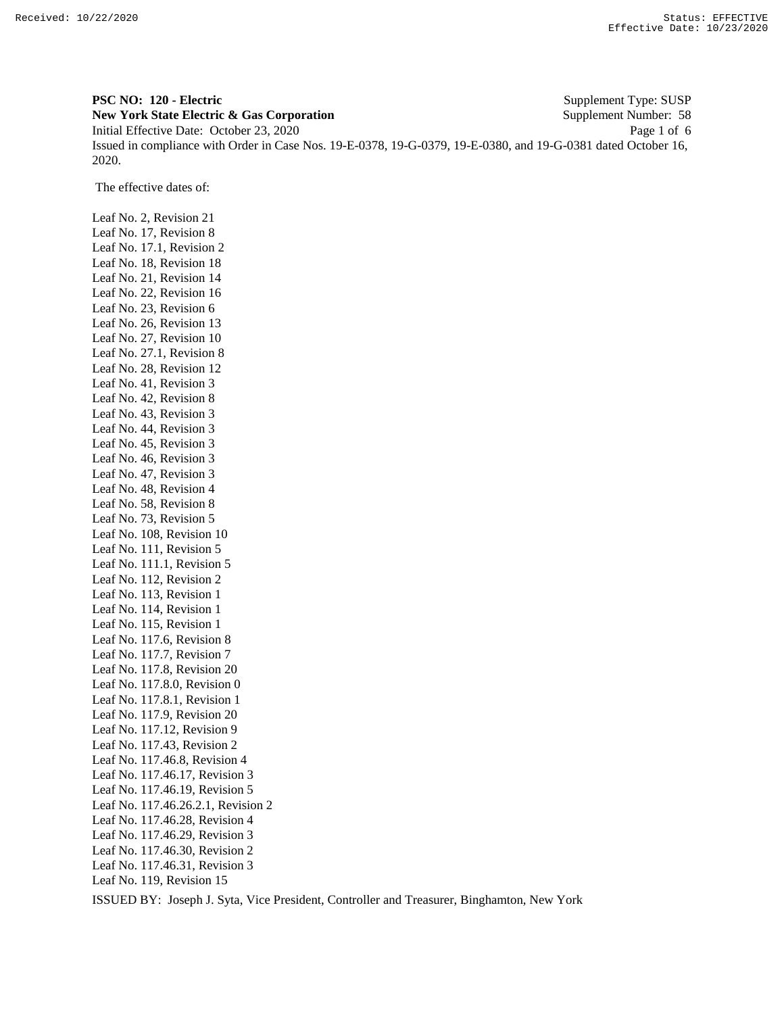**PSC NO: 120 - Electric** Supplement Type: SUSP **New York State Electric & Gas Corporation** Supplement Number: 58 Initial Effective Date: October 23, 2020 Page 1 of 6 Issued in compliance with Order in Case Nos. 19-E-0378, 19-G-0379, 19-E-0380, and 19-G-0381 dated October 16, 2020.

The effective dates of:

Leaf No. 2, Revision 21 Leaf No. 17, Revision 8 Leaf No. 17.1, Revision 2 Leaf No. 18, Revision 18 Leaf No. 21, Revision 14 Leaf No. 22, Revision 16 Leaf No. 23, Revision 6 Leaf No. 26, Revision 13 Leaf No. 27, Revision 10 Leaf No. 27.1, Revision 8 Leaf No. 28, Revision 12 Leaf No. 41, Revision 3 Leaf No. 42, Revision 8 Leaf No. 43, Revision 3 Leaf No. 44, Revision 3 Leaf No. 45, Revision 3 Leaf No. 46, Revision 3 Leaf No. 47, Revision 3 Leaf No. 48, Revision 4 Leaf No. 58, Revision 8 Leaf No. 73, Revision 5 Leaf No. 108, Revision 10 Leaf No. 111, Revision 5 Leaf No. 111.1, Revision 5 Leaf No. 112, Revision 2 Leaf No. 113, Revision 1 Leaf No. 114, Revision 1 Leaf No. 115, Revision 1 Leaf No. 117.6, Revision 8 Leaf No. 117.7, Revision 7 Leaf No. 117.8, Revision 20 Leaf No. 117.8.0, Revision 0 Leaf No. 117.8.1, Revision 1 Leaf No. 117.9, Revision 20 Leaf No. 117.12, Revision 9 Leaf No. 117.43, Revision 2 Leaf No. 117.46.8, Revision 4 Leaf No. 117.46.17, Revision 3 Leaf No. 117.46.19, Revision 5 Leaf No. 117.46.26.2.1, Revision 2 Leaf No. 117.46.28, Revision 4 Leaf No. 117.46.29, Revision 3 Leaf No. 117.46.30, Revision 2 Leaf No. 117.46.31, Revision 3 Leaf No. 119, Revision 15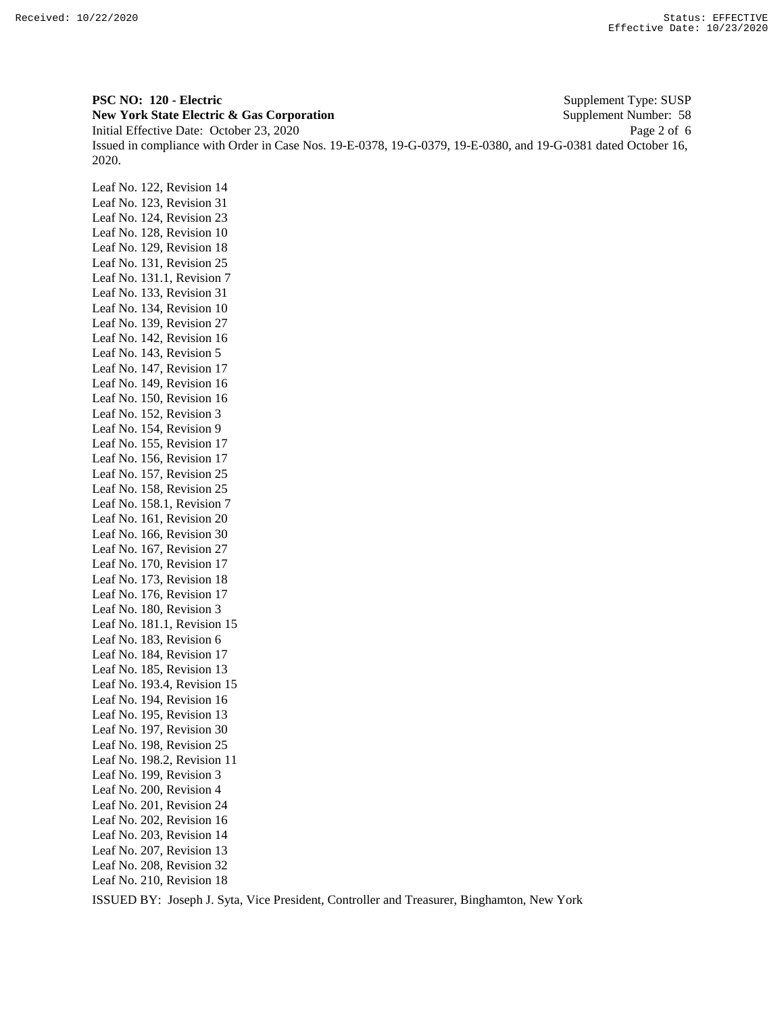**PSC NO: 120 - Electric** Supplement Type: SUSP **New York State Electric & Gas Corporation** Supplement Number: 58 Initial Effective Date: October 23, 2020 Page 2 of 6 Issued in compliance with Order in Case Nos. 19-E-0378, 19-G-0379, 19-E-0380, and 19-G-0381 dated October 16, 2020.

Leaf No. 122, Revision 14 Leaf No. 123, Revision 31 Leaf No. 124, Revision 23 Leaf No. 128, Revision 10 Leaf No. 129, Revision 18 Leaf No. 131, Revision 25 Leaf No. 131.1, Revision 7 Leaf No. 133, Revision 31 Leaf No. 134, Revision 10 Leaf No. 139, Revision 27 Leaf No. 142, Revision 16 Leaf No. 143, Revision 5 Leaf No. 147, Revision 17 Leaf No. 149, Revision 16 Leaf No. 150, Revision 16 Leaf No. 152, Revision 3 Leaf No. 154, Revision 9 Leaf No. 155, Revision 17 Leaf No. 156, Revision 17 Leaf No. 157, Revision 25 Leaf No. 158, Revision 25 Leaf No. 158.1, Revision 7 Leaf No. 161, Revision 20 Leaf No. 166, Revision 30 Leaf No. 167, Revision 27 Leaf No. 170, Revision 17 Leaf No. 173, Revision 18 Leaf No. 176, Revision 17 Leaf No. 180, Revision 3 Leaf No. 181.1, Revision 15 Leaf No. 183, Revision 6 Leaf No. 184, Revision 17 Leaf No. 185, Revision 13 Leaf No. 193.4, Revision 15 Leaf No. 194, Revision 16 Leaf No. 195, Revision 13 Leaf No. 197, Revision 30 Leaf No. 198, Revision 25 Leaf No. 198.2, Revision 11 Leaf No. 199, Revision 3 Leaf No. 200, Revision 4 Leaf No. 201, Revision 24 Leaf No. 202, Revision 16 Leaf No. 203, Revision 14 Leaf No. 207, Revision 13 Leaf No. 208, Revision 32 Leaf No. 210, Revision 18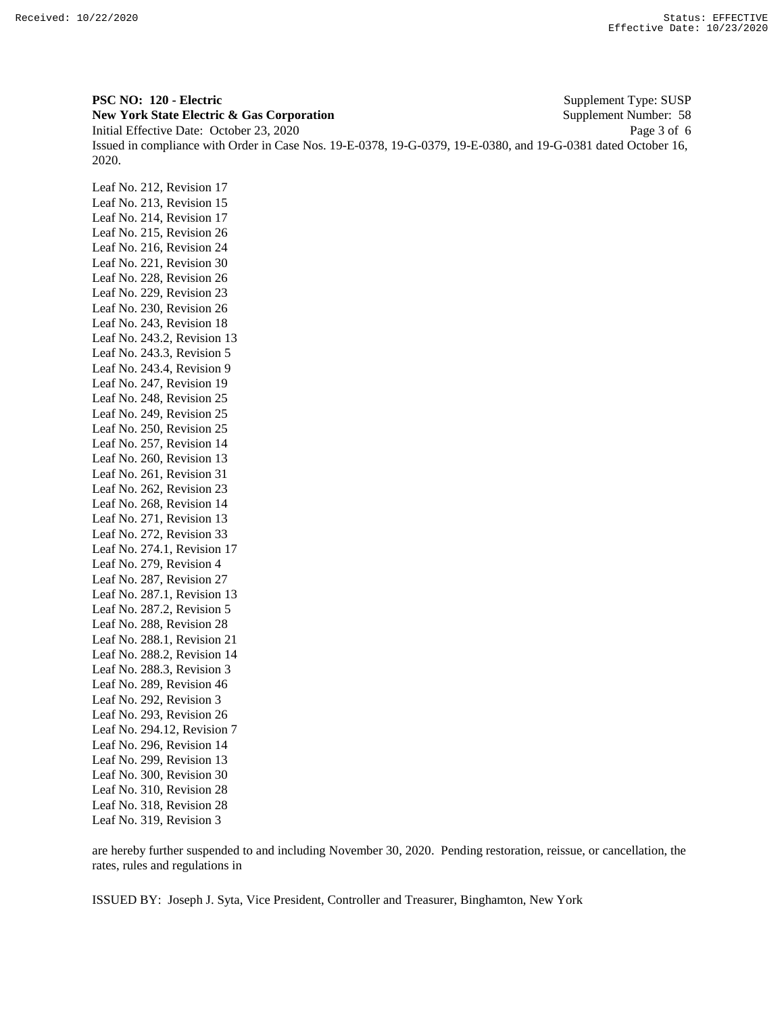**PSC NO: 120 - Electric** Supplement Type: SUSP **New York State Electric & Gas Corporation** Supplement Number: 58 Initial Effective Date: October 23, 2020 Page 3 of 6 Issued in compliance with Order in Case Nos. 19-E-0378, 19-G-0379, 19-E-0380, and 19-G-0381 dated October 16, 2020.

Leaf No. 212, Revision 17 Leaf No. 213, Revision 15 Leaf No. 214, Revision 17 Leaf No. 215, Revision 26 Leaf No. 216, Revision 24 Leaf No. 221, Revision 30 Leaf No. 228, Revision 26 Leaf No. 229, Revision 23 Leaf No. 230, Revision 26 Leaf No. 243, Revision 18 Leaf No. 243.2, Revision 13 Leaf No. 243.3, Revision 5 Leaf No. 243.4, Revision 9 Leaf No. 247, Revision 19 Leaf No. 248, Revision 25 Leaf No. 249, Revision 25 Leaf No. 250, Revision 25 Leaf No. 257, Revision 14 Leaf No. 260, Revision 13 Leaf No. 261, Revision 31 Leaf No. 262, Revision 23 Leaf No. 268, Revision 14 Leaf No. 271, Revision 13 Leaf No. 272, Revision 33 Leaf No. 274.1, Revision 17 Leaf No. 279, Revision 4 Leaf No. 287, Revision 27 Leaf No. 287.1, Revision 13 Leaf No. 287.2, Revision 5 Leaf No. 288, Revision 28 Leaf No. 288.1, Revision 21 Leaf No. 288.2, Revision 14 Leaf No. 288.3, Revision 3 Leaf No. 289, Revision 46 Leaf No. 292, Revision 3 Leaf No. 293, Revision 26 Leaf No. 294.12, Revision 7 Leaf No. 296, Revision 14 Leaf No. 299, Revision 13 Leaf No. 300, Revision 30 Leaf No. 310, Revision 28 Leaf No. 318, Revision 28 Leaf No. 319, Revision 3

are hereby further suspended to and including November 30, 2020. Pending restoration, reissue, or cancellation, the rates, rules and regulations in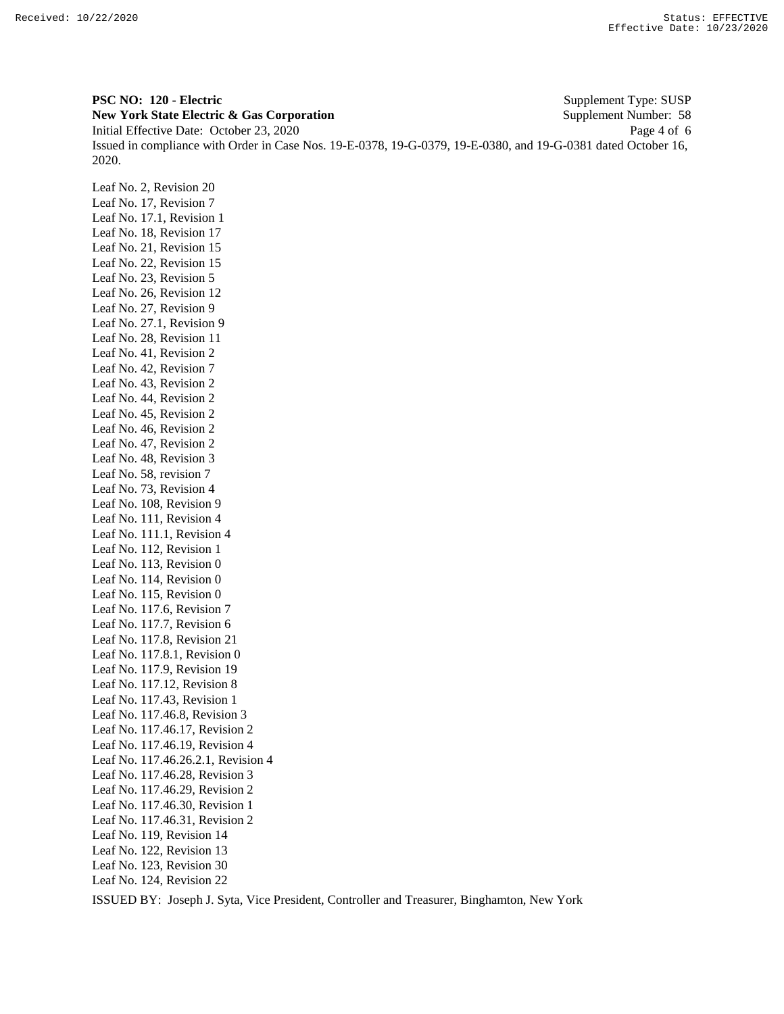**PSC NO: 120 - Electric** Supplement Type: SUSP **New York State Electric & Gas Corporation** Supplement Number: 58 Initial Effective Date: October 23, 2020 Page 4 of 6 Issued in compliance with Order in Case Nos. 19-E-0378, 19-G-0379, 19-E-0380, and 19-G-0381 dated October 16, 2020.

Leaf No. 2, Revision 20 Leaf No. 17, Revision 7 Leaf No. 17.1, Revision 1 Leaf No. 18, Revision 17 Leaf No. 21, Revision 15 Leaf No. 22, Revision 15 Leaf No. 23, Revision 5 Leaf No. 26, Revision 12 Leaf No. 27, Revision 9 Leaf No. 27.1, Revision 9 Leaf No. 28, Revision 11 Leaf No. 41, Revision 2 Leaf No. 42, Revision 7 Leaf No. 43, Revision 2 Leaf No. 44, Revision 2 Leaf No. 45, Revision 2 Leaf No. 46, Revision 2 Leaf No. 47, Revision 2 Leaf No. 48, Revision 3 Leaf No. 58, revision 7 Leaf No. 73, Revision 4 Leaf No. 108, Revision 9 Leaf No. 111, Revision 4 Leaf No. 111.1, Revision 4 Leaf No. 112, Revision 1 Leaf No. 113, Revision 0 Leaf No. 114, Revision 0 Leaf No. 115, Revision 0 Leaf No. 117.6, Revision 7 Leaf No. 117.7, Revision 6 Leaf No. 117.8, Revision 21 Leaf No. 117.8.1, Revision 0 Leaf No. 117.9, Revision 19 Leaf No. 117.12, Revision 8 Leaf No. 117.43, Revision 1 Leaf No. 117.46.8, Revision 3 Leaf No. 117.46.17, Revision 2 Leaf No. 117.46.19, Revision 4 Leaf No. 117.46.26.2.1, Revision 4 Leaf No. 117.46.28, Revision 3 Leaf No. 117.46.29, Revision 2 Leaf No. 117.46.30, Revision 1 Leaf No. 117.46.31, Revision 2 Leaf No. 119, Revision 14 Leaf No. 122, Revision 13 Leaf No. 123, Revision 30 Leaf No. 124, Revision 22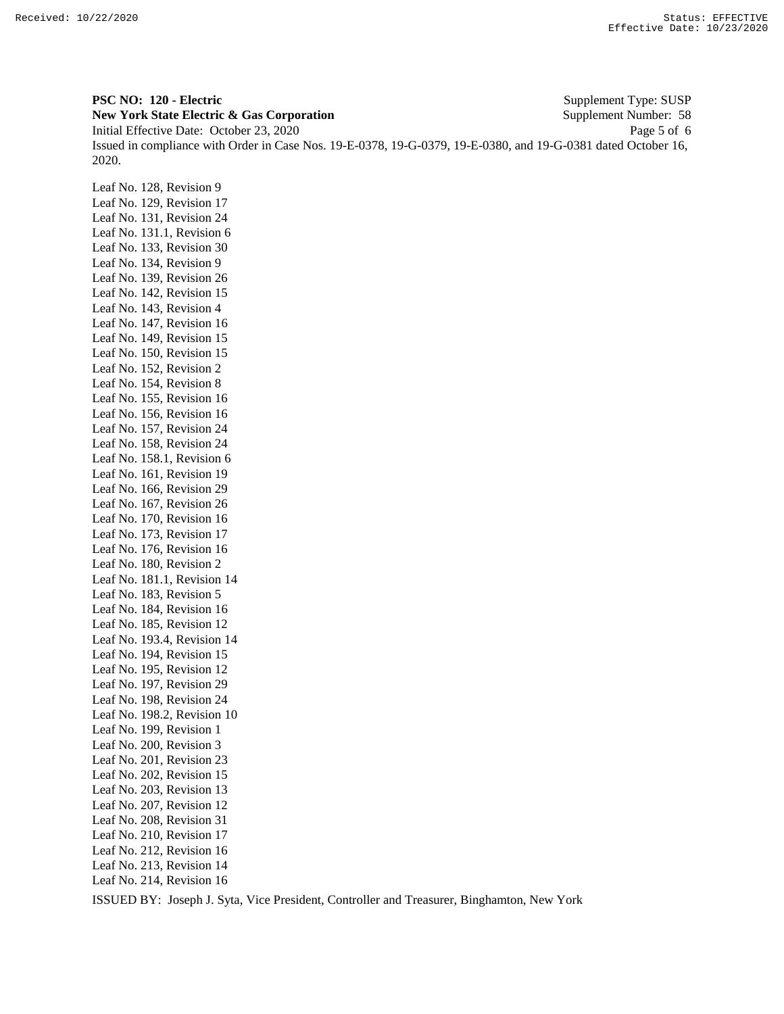**PSC NO: 120 - Electric** Supplement Type: SUSP **New York State Electric & Gas Corporation** Supplement Number: 58 Initial Effective Date: October 23, 2020 Page 5 of 6 Issued in compliance with Order in Case Nos. 19-E-0378, 19-G-0379, 19-E-0380, and 19-G-0381 dated October 16, 2020.

Leaf No. 128, Revision 9 Leaf No. 129, Revision 17 Leaf No. 131, Revision 24 Leaf No. 131.1, Revision 6 Leaf No. 133, Revision 30 Leaf No. 134, Revision 9 Leaf No. 139, Revision 26 Leaf No. 142, Revision 15 Leaf No. 143, Revision 4 Leaf No. 147, Revision 16 Leaf No. 149, Revision 15 Leaf No. 150, Revision 15 Leaf No. 152, Revision 2 Leaf No. 154, Revision 8 Leaf No. 155, Revision 16 Leaf No. 156, Revision 16 Leaf No. 157, Revision 24 Leaf No. 158, Revision 24 Leaf No. 158.1, Revision 6 Leaf No. 161, Revision 19 Leaf No. 166, Revision 29 Leaf No. 167, Revision 26 Leaf No. 170, Revision 16 Leaf No. 173, Revision 17 Leaf No. 176, Revision 16 Leaf No. 180, Revision 2 Leaf No. 181.1, Revision 14 Leaf No. 183, Revision 5 Leaf No. 184, Revision 16 Leaf No. 185, Revision 12 Leaf No. 193.4, Revision 14 Leaf No. 194, Revision 15 Leaf No. 195, Revision 12 Leaf No. 197, Revision 29 Leaf No. 198, Revision 24 Leaf No. 198.2, Revision 10 Leaf No. 199, Revision 1 Leaf No. 200, Revision 3 Leaf No. 201, Revision 23 Leaf No. 202, Revision 15 Leaf No. 203, Revision 13 Leaf No. 207, Revision 12 Leaf No. 208, Revision 31 Leaf No. 210, Revision 17 Leaf No. 212, Revision 16 Leaf No. 213, Revision 14 Leaf No. 214, Revision 16